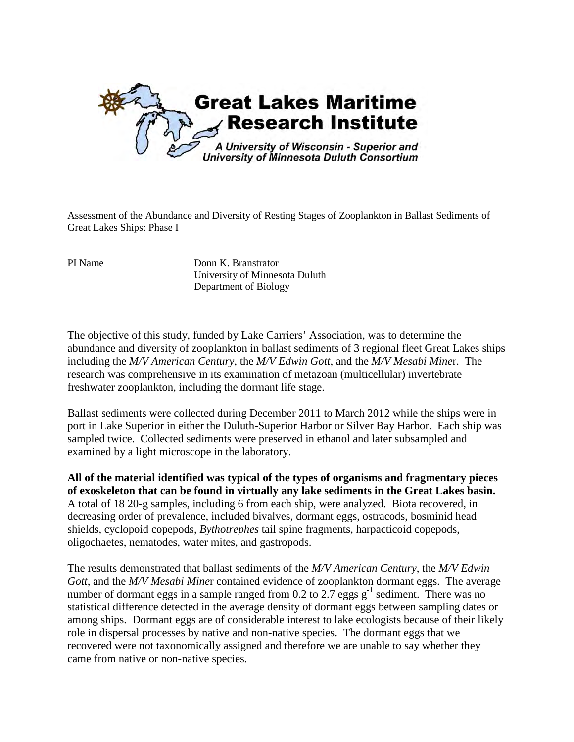

Assessment of the Abundance and Diversity of Resting Stages of Zooplankton in Ballast Sediments of Great Lakes Ships: Phase I

PI Name Donn K. Branstrator University of Minnesota Duluth Department of Biology

The objective of this study, funded by Lake Carriers' Association, was to determine the abundance and diversity of zooplankton in ballast sediments of 3 regional fleet Great Lakes ships including the *M/V American Century*, the *M/V Edwin Gott*, and the *M/V Mesabi Mine*r. The research was comprehensive in its examination of metazoan (multicellular) invertebrate freshwater zooplankton, including the dormant life stage.

Ballast sediments were collected during December 2011 to March 2012 while the ships were in port in Lake Superior in either the Duluth-Superior Harbor or Silver Bay Harbor. Each ship was sampled twice. Collected sediments were preserved in ethanol and later subsampled and examined by a light microscope in the laboratory.

**All of the material identified was typical of the types of organisms and fragmentary pieces of exoskeleton that can be found in virtually any lake sediments in the Great Lakes basin.** A total of 18 20-g samples, including 6 from each ship, were analyzed. Biota recovered, in decreasing order of prevalence, included bivalves, dormant eggs, ostracods, bosminid head shields, cyclopoid copepods, *Bythotrephes* tail spine fragments, harpacticoid copepods, oligochaetes, nematodes, water mites, and gastropods.

The results demonstrated that ballast sediments of the *M/V American Century*, the *M/V Edwin Gott*, and the *M/V Mesabi Mine*r contained evidence of zooplankton dormant eggs. The average number of dormant eggs in a sample ranged from 0.2 to 2.7 eggs  $g^{-1}$  sediment. There was no statistical difference detected in the average density of dormant eggs between sampling dates or among ships. Dormant eggs are of considerable interest to lake ecologists because of their likely role in dispersal processes by native and non-native species. The dormant eggs that we recovered were not taxonomically assigned and therefore we are unable to say whether they came from native or non-native species.